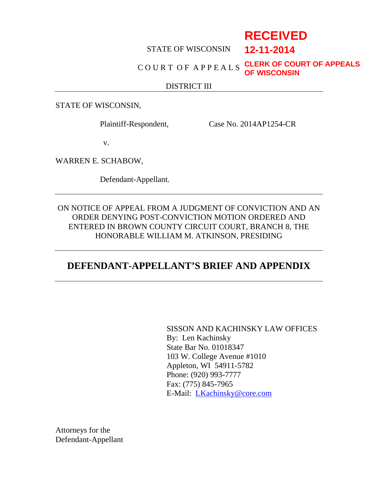# **RECEIVED**

**12-11-2014**

#### STATE OF WISCONSIN

#### C O U R T O F A P P E A L S **CLERK OF COURT OF APPEALS OF WISCONSIN**

#### DISTRICT III

STATE OF WISCONSIN,

Plaintiff-Respondent, Case No. 2014AP1254-CR

v.

WARREN E. SCHABOW,

Defendant-Appellant.

ON NOTICE OF APPEAL FROM A JUDGMENT OF CONVICTION AND AN ORDER DENYING POST-CONVICTION MOTION ORDERED AND ENTERED IN BROWN COUNTY CIRCUIT COURT, BRANCH 8, THE HONORABLE WILLIAM M. ATKINSON, PRESIDING

### **DEFENDANT-APPELLANT'S BRIEF AND APPENDIX**

SISSON AND KACHINSKY LAW OFFICES By: Len Kachinsky State Bar No. 01018347 103 W. College Avenue #1010 Appleton, WI 54911-5782 Phone: (920) 993-7777 Fax: (775) 845-7965 E-Mail: LKachinsky@core.com

Attorneys for the Defendant-Appellant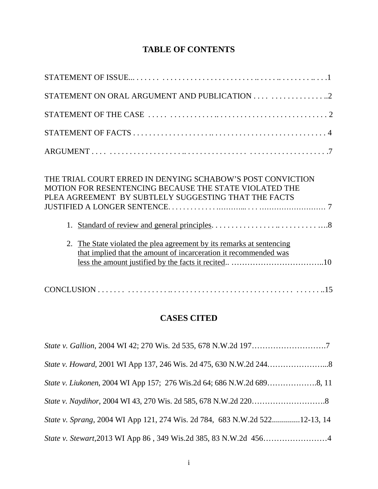## **TABLE OF CONTENTS**

| THE TRIAL COURT ERRED IN DENYING SCHABOW'S POST CONVICTION<br>MOTION FOR RESENTENCING BECAUSE THE STATE VIOLATED THE<br>PLEA AGREEMENT BY SUBTLELY SUGGESTING THAT THE FACTS<br>1.<br>The State violated the plea agreement by its remarks at sentencing<br>2.<br>that implied that the amount of incarceration it recommended was |  |
|------------------------------------------------------------------------------------------------------------------------------------------------------------------------------------------------------------------------------------------------------------------------------------------------------------------------------------|--|
|                                                                                                                                                                                                                                                                                                                                    |  |

### **CASES CITED**

| State v. Sprang, 2004 WI App 121, 274 Wis. 2d 784, 683 N.W.2d 52212-13, 14 |  |
|----------------------------------------------------------------------------|--|
|                                                                            |  |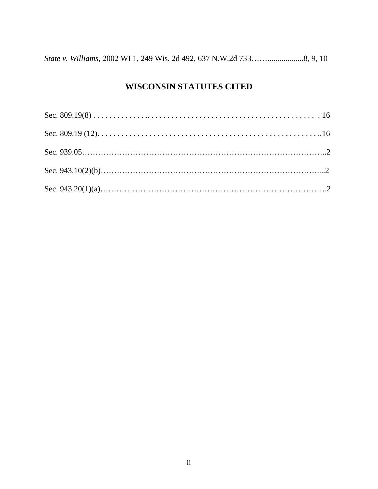|--|--|--|--|

### **WISCONSIN STATUTES CITED**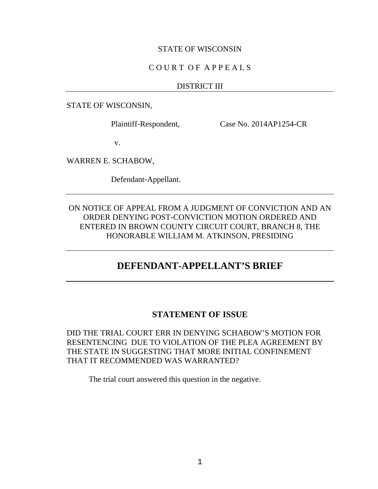#### STATE OF WISCONSIN

#### C O U R T O F A P P E A L S

#### DISTRICT III

STATE OF WISCONSIN,

Plaintiff-Respondent, Case No. 2014AP1254-CR

v.

WARREN E. SCHABOW,

Defendant-Appellant.

ON NOTICE OF APPEAL FROM A JUDGMENT OF CONVICTION AND AN ORDER DENYING POST-CONVICTION MOTION ORDERED AND ENTERED IN BROWN COUNTY CIRCUIT COURT, BRANCH 8, THE HONORABLE WILLIAM M. ATKINSON, PRESIDING

### **DEFENDANT-APPELLANT'S BRIEF**

#### **STATEMENT OF ISSUE**

DID THE TRIAL COURT ERR IN DENYING SCHABOW'S MOTION FOR RESENTENCING DUE TO VIOLATION OF THE PLEA AGREEMENT BY THE STATE IN SUGGESTING THAT MORE INITIAL CONFINEMENT THAT IT RECOMMENDED WAS WARRANTED?

The trial court answered this question in the negative.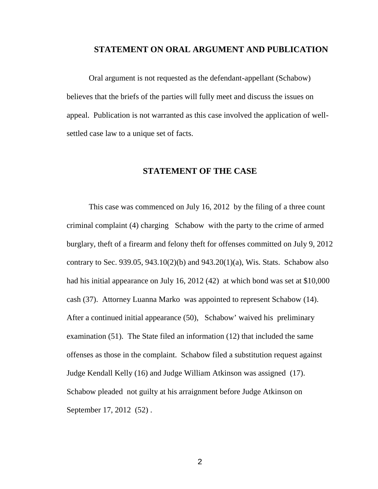#### **STATEMENT ON ORAL ARGUMENT AND PUBLICATION**

Oral argument is not requested as the defendant-appellant (Schabow) believes that the briefs of the parties will fully meet and discuss the issues on appeal. Publication is not warranted as this case involved the application of well settled case law to a unique set of facts.

#### **STATEMENT OF THE CASE**

This case was commenced on July 16, 2012 by the filing of a three count criminal complaint (4) charging Schabow with the party to the crime of armed burglary, theft of a firearm and felony theft for offenses committed on July 9, 2012 contrary to Sec. 939.05, 943.10(2)(b) and 943.20(1)(a), Wis. Stats. Schabow also had his initial appearance on July 16, 2012 (42) at which bond was set at \$10,000 cash (37). Attorney Luanna Marko was appointed to represent Schabow (14). After a continued initial appearance (50), Schabow' waived his preliminary examination (51). The State filed an information (12) that included the same offenses as those in the complaint. Schabow filed a substitution request against Judge Kendall Kelly (16) and Judge William Atkinson was assigned (17). Schabow pleaded not guilty at his arraignment before Judge Atkinson on September 17, 2012 (52) .

2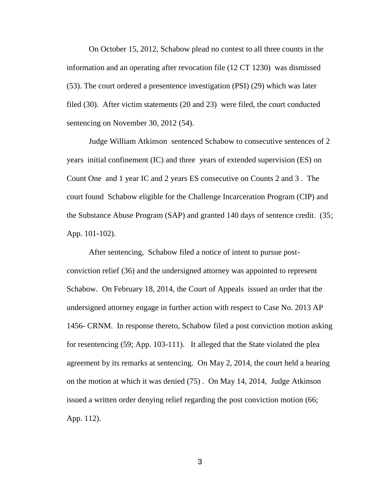On October 15, 2012, Schabow plead no contest to all three counts in the information and an operating after revocation file (12 CT 1230) was dismissed (53). The court ordered a presentence investigation (PSI) (29) which was later filed (30). After victim statements (20 and 23) were filed, the court conducted sentencing on November 30, 2012 (54).

Judge William Atkinson sentenced Schabow to consecutive sentences of 2 years initial confinement (IC) and three years of extended supervision (ES) on Count One and 1 year IC and 2 years ES consecutive on Counts 2 and 3 . The court found Schabow eligible for the Challenge Incarceration Program (CIP) and the Substance Abuse Program (SAP) and granted 140 days of sentence credit. (35; App. 101-102).

After sentencing, Schabow filed a notice of intent to pursue post conviction relief (36) and the undersigned attorney was appointed to represent Schabow. On February 18, 2014, the Court of Appeals issued an order that the undersigned attorney engage in further action with respect to Case No. 2013 AP 1456- CRNM. In response thereto, Schabow filed a post conviction motion asking for resentencing (59; App. 103-111). It alleged that the State violated the plea agreement by its remarks at sentencing. On May 2, 2014, the court held a hearing on the motion at which it was denied (75) . On May 14, 2014, Judge Atkinson issued a written order denying relief regarding the post conviction motion (66; App. 112).

3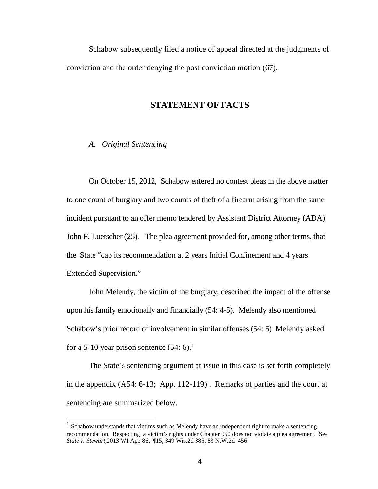Schabow subsequently filed a notice of appeal directed at the judgments of conviction and the order denying the post conviction motion (67).

#### **STATEMENT OF FACTS**

#### *A. Original Sentencing*

On October 15, 2012, Schabow entered no contest pleas in the above matter to one count of burglary and two counts of theft of a firearm arising from the same incident pursuant to an offer memo tendered by Assistant District Attorney (ADA) John F. Luetscher (25). The plea agreement provided for, among other terms, that the State "cap its recommendation at 2 years Initial Confinement and 4 years Extended Supervision."

John Melendy, the victim of the burglary, described the impact of the offense upon his family emotionally and financially (54: 4-5). Melendy also mentioned Schabow's prior record of involvement in similar offenses (54: 5) Melendy asked for a 5-10 year prison sentence  $(54: 6)$ .<sup>1</sup>

The State's sentencing argument at issue in this case is set forth completely in the appendix (A54: 6-13; App. 112-119) . Remarks of parties and the court at sentencing are summarized below.

 $<sup>1</sup>$  Schabow understands that victims such as Melendy have an independent right to make a sentencing</sup> recommendation. Respecting a victim's rights under Chapter 950 does not violate a plea agreement. See *State v. Stewart*,2013 WI App 86, ¶15, 349 Wis.2d 385, 83 N.W.2d 456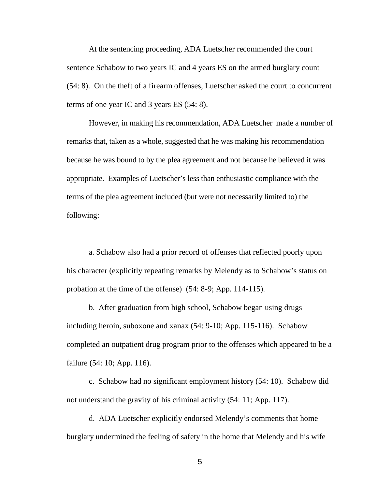At the sentencing proceeding, ADA Luetscher recommended the court sentence Schabow to two years IC and 4 years ES on the armed burglary count (54: 8). On the theft of a firearm offenses, Luetscher asked the court to concurrent terms of one year IC and 3 years ES (54: 8).

However, in making his recommendation, ADA Luetscher made a number of remarks that, taken as a whole, suggested that he was making his recommendation because he was bound to by the plea agreement and not because he believed it was appropriate. Examples of Luetscher's less than enthusiastic compliance with the terms of the plea agreement included (but were not necessarily limited to) the following:

a. Schabow also had a prior record of offenses that reflected poorly upon his character (explicitly repeating remarks by Melendy as to Schabow's status on probation at the time of the offense) (54: 8-9; App. 114-115).

b. After graduation from high school, Schabow began using drugs including heroin, suboxone and xanax (54: 9-10; App. 115-116). Schabow completed an outpatient drug program prior to the offenses which appeared to be a failure (54: 10; App. 116).

c. Schabow had no significant employment history (54: 10). Schabow did not understand the gravity of his criminal activity (54: 11; App. 117).

d. ADA Luetscher explicitly endorsed Melendy's comments that home burglary undermined the feeling of safety in the home that Melendy and his wife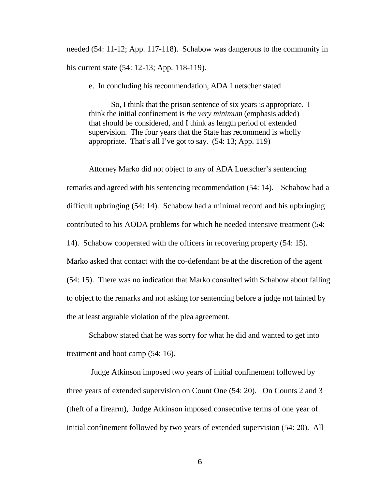needed (54: 11-12; App. 117-118). Schabow was dangerous to the community in his current state (54: 12-13; App. 118-119).

e. In concluding his recommendation, ADA Luetscher stated

So, I think that the prison sentence of six years is appropriate. I think the initial confinement is *the very minimum* (emphasis added) that should be considered, and I think as length period of extended supervision. The four years that the State has recommend is wholly appropriate. That's all I've got to say. (54: 13; App. 119)

Attorney Marko did not object to any of ADA Luetscher's sentencing remarks and agreed with his sentencing recommendation (54: 14). Schabow had a difficult upbringing (54: 14). Schabow had a minimal record and his upbringing contributed to his AODA problems for which he needed intensive treatment (54: 14). Schabow cooperated with the officers in recovering property (54: 15). Marko asked that contact with the co-defendant be at the discretion of the agent (54: 15). There was no indication that Marko consulted with Schabow about failing to object to the remarks and not asking for sentencing before a judge not tainted by the at least arguable violation of the plea agreement.

Schabow stated that he was sorry for what he did and wanted to get into treatment and boot camp (54: 16).

Judge Atkinson imposed two years of initial confinement followed by three years of extended supervision on Count One (54: 20). On Counts 2 and 3 (theft of a firearm), Judge Atkinson imposed consecutive terms of one year of initial confinement followed by two years of extended supervision (54: 20). All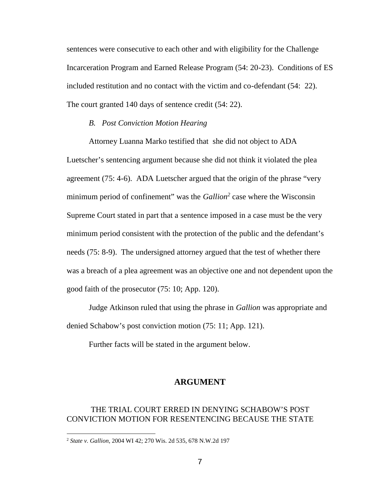sentences were consecutive to each other and with eligibility for the Challenge Incarceration Program and Earned Release Program (54: 20-23). Conditions of ES included restitution and no contact with the victim and co-defendant (54: 22). The court granted 140 days of sentence credit (54: 22).

#### *B. Post Conviction Motion Hearing*

Attorney Luanna Marko testified that she did not object to ADA Luetscher's sentencing argument because she did not think it violated the plea agreement (75: 4-6). ADA Luetscher argued that the origin of the phrase "very minimum period of confinement" was the *Gallion<sup>2</sup>* case where the Wisconsin Supreme Court stated in part that a sentence imposed in a case must be the very minimum period consistent with the protection of the public and the defendant's needs (75: 8-9). The undersigned attorney argued that the test of whether there was a breach of a plea agreement was an objective one and not dependent upon the good faith of the prosecutor (75: 10; App. 120).

Judge Atkinson ruled that using the phrase in *Gallion* was appropriate and denied Schabow's post conviction motion (75: 11; App. 121).

Further facts will be stated in the argument below.

#### **ARGUMENT**

#### THE TRIAL COURT ERRED IN DENYING SCHABOW'S POST CONVICTION MOTION FOR RESENTENCING BECAUSE THE STATE

<sup>2</sup> *State v. Gallion*, 2004 WI 42; 270 Wis. 2d 535, 678 N.W.2d 197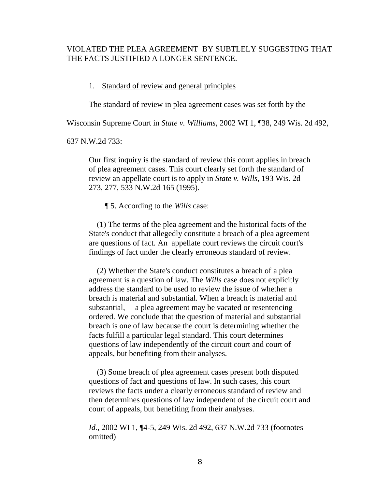#### VIOLATED THE PLEA AGREEMENT BY SUBTLELY SUGGESTING THAT THE FACTS JUSTIFIED A LONGER SENTENCE.

#### 1. Standard of review and general principles

The standard of review in plea agreement cases was set forth by the

Wisconsin Supreme Court in *State v. Williams,* 2002 WI 1, ¶38, 249 Wis. 2d 492,

637 N.W.2d 733:

Our first inquiry is the standard of review this court applies in breach of plea agreement cases. This court clearly set forth the standard of review an appellate court is to apply in *State v. Wills*, 193 Wis. 2d 273, 277, 533 N.W.2d 165 (1995).

¶ 5. According to the *Wills* case:

(1) The terms of the plea agreement and the historical facts of the State's conduct that allegedly constitute a breach of a plea agreement are questions of fact. An appellate court reviews the circuit court's findings of fact under the clearly erroneous standard of review.

(2) Whether the State's conduct constitutes a breach of a plea agreement is a question of law. The *Wills* case does not explicitly address the standard to be used to review the issue of whether a breach is material and substantial. When a breach is material and substantial, a plea agreement may be vacated or resentencing ordered. We conclude that the question of material and substantial breach is one of law because the court is determining whether the facts fulfill a particular legal standard. This court determines questions of law independently of the circuit court and court of appeals, but benefiting from their analyses.

(3) Some breach of plea agreement cases present both disputed questions of fact and questions of law. In such cases, this court reviews the facts under a clearly erroneous standard of review and then determines questions of law independent of the circuit court and court of appeals, but benefiting from their analyses.

*Id.,* 2002 WI 1, ¶4-5, 249 Wis. 2d 492, 637 N.W.2d 733 (footnotes omitted)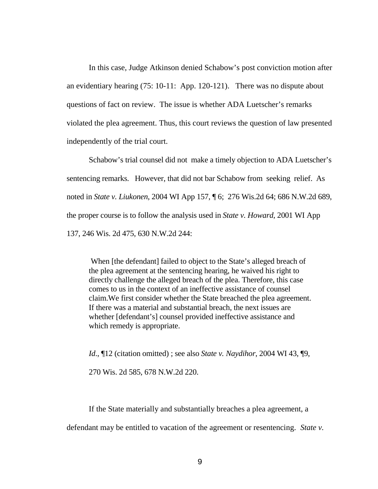In this case, Judge Atkinson denied Schabow's post conviction motion after an evidentiary hearing (75: 10-11: App. 120-121). There was no dispute about questions of fact on review. The issue is whether ADA Luetscher's remarks violated the plea agreement. Thus, this court reviews the question of law presented independently of the trial court.

Schabow's trial counsel did not make a timely objection to ADA Luetscher's sentencing remarks. However, that did not bar Schabow from seeking relief. As noted in *State v. Liukonen*, 2004 WI App 157, ¶ 6; 276 Wis.2d 64; 686 N.W.2d 689, the proper course is to follow the analysis used in *State v. Howard*, 2001 WI App 137, 246 Wis. 2d 475, 630 N.W.2d 244:

When [the defendant] failed to object to the State's alleged breach of the plea agreement at the sentencing hearing, he waived his right to directly challenge the alleged breach of the plea. Therefore, this case comes to us in the context of an ineffective assistance of counsel claim.We first consider whether the State breached the plea agreement. If there was a material and substantial breach, the next issues are whether [defendant's] counsel provided ineffective assistance and which remedy is appropriate.

*Id*., ¶12 (citation omitted) ; see also *State v. Naydihor*, 2004 WI 43, ¶9,

270 Wis. 2d 585, 678 N.W.2d 220.

If the State materially and substantially breaches a plea agreement, a defendant may be entitled to vacation of the agreement or resentencing. *State v.*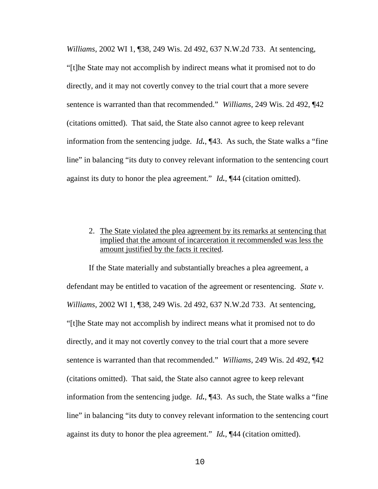*Williams*, 2002 WI 1, ¶38, 249 Wis. 2d 492, 637 N.W.2d 733. At sentencing, "[t]he State may not accomplish by indirect means what it promised not to do directly, and it may not covertly convey to the trial court that a more severe sentence is warranted than that recommended." *Williams*, 249 Wis. 2d 492, ¶42 (citations omitted). That said, the State also cannot agree to keep relevant information from the sentencing judge. *Id.*, ¶43. As such, the State walks a "fine line" in balancing "its duty to convey relevant information to the sentencing court against its duty to honor the plea agreement." *Id.*, ¶44 (citation omitted).

#### 2. The State violated the plea agreement by its remarks at sentencing that implied that the amount of incarceration it recommended was less the amount justified by the facts it recited.

If the State materially and substantially breaches a plea agreement, a defendant may be entitled to vacation of the agreement or resentencing. *State v. Williams*, 2002 WI 1, ¶38, 249 Wis. 2d 492, 637 N.W.2d 733. At sentencing, "[t]he State may not accomplish by indirect means what it promised not to do directly, and it may not covertly convey to the trial court that a more severe sentence is warranted than that recommended." *Williams*, 249 Wis. 2d 492, ¶42 (citations omitted). That said, the State also cannot agree to keep relevant information from the sentencing judge. *Id.*, ¶43. As such, the State walks a "fine line" in balancing "its duty to convey relevant information to the sentencing court against its duty to honor the plea agreement." *Id.*, ¶44 (citation omitted).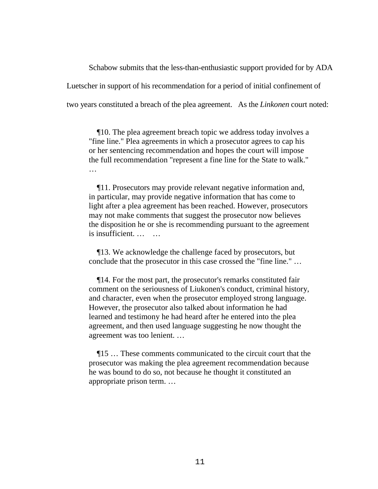Schabow submits that the less-than-enthusiastic support provided for by ADA Luetscher in support of his recommendation for a period of initial confinement of two years constituted a breach of the plea agreement. As the *Linkonen* court noted:

¶10. The plea agreement breach topic we address today involves a "fine line." Plea agreements in which a prosecutor agrees to cap his or her sentencing recommendation and hopes the court will impose the full recommendation "represent a fine line for the State to walk." …

¶11. Prosecutors may provide relevant negative information and, in particular, may provide negative information that has come to light after a plea agreement has been reached. However, prosecutors may not make comments that suggest the prosecutor now believes the disposition he or she is recommending pursuant to the agreement is insufficient. ...

¶13. We acknowledge the challenge faced by prosecutors, but conclude that the prosecutor in this case crossed the "fine line." …

¶14. For the most part, the prosecutor's remarks constituted fair comment on the seriousness of Liukonen's conduct, criminal history, and character, even when the prosecutor employed strong language. However, the prosecutor also talked about information he had learned and testimony he had heard after he entered into the plea agreement, and then used language suggesting he now thought the agreement was too lenient. …

¶15 … These comments communicated to the circuit court that the prosecutor was making the plea agreement recommendation because he was bound to do so, not because he thought it constituted an appropriate prison term. …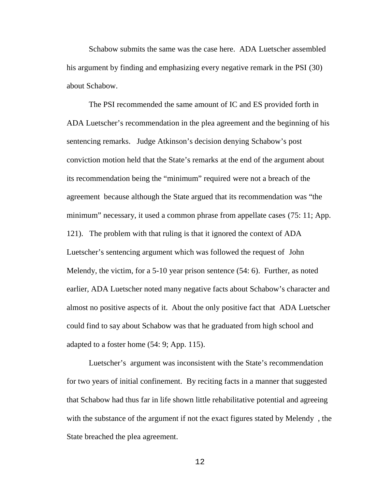Schabow submits the same was the case here. ADA Luetscher assembled his argument by finding and emphasizing every negative remark in the PSI (30) about Schabow.

The PSI recommended the same amount of IC and ES provided forth in ADA Luetscher's recommendation in the plea agreement and the beginning of his sentencing remarks. Judge Atkinson's decision denying Schabow's post conviction motion held that the State's remarks at the end of the argument about its recommendation being the "minimum" required were not a breach of the agreement because although the State argued that its recommendation was "the minimum" necessary, it used a common phrase from appellate cases (75: 11; App. 121). The problem with that ruling is that it ignored the context of ADA Luetscher's sentencing argument which was followed the request of John Melendy, the victim, for a 5-10 year prison sentence (54: 6). Further, as noted earlier, ADA Luetscher noted many negative facts about Schabow's character and almost no positive aspects of it. About the only positive fact that ADA Luetscher could find to say about Schabow was that he graduated from high school and adapted to a foster home (54: 9; App. 115).

Luetscher's argument was inconsistent with the State's recommendation for two years of initial confinement. By reciting facts in a manner that suggested that Schabow had thus far in life shown little rehabilitative potential and agreeing with the substance of the argument if not the exact figures stated by Melendy , the State breached the plea agreement.

12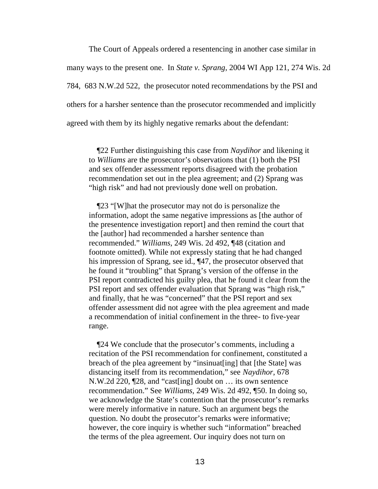The Court of Appeals ordered a resentencing in another case similar in many ways to the present one. In *State v. Sprang*, 2004 WI App 121, 274 Wis. 2d 784, 683 N.W.2d 522, the prosecutor noted recommendations by the PSI and others for a harsher sentence than the prosecutor recommended and implicitly agreed with them by its highly negative remarks about the defendant:

¶22 Further distinguishing this case from *Naydihor* and likening it to *Williams* are the prosecutor's observations that (1) both the PSI and sex offender assessment reports disagreed with the probation recommendation set out in the plea agreement; and (2) Sprang was "high risk" and had not previously done well on probation.

¶23 "[W]hat the prosecutor may not do is personalize the information, adopt the same negative impressions as [the author of the presentence investigation report] and then remind the court that the [author] had recommended a harsher sentence than recommended." *Williams*, 249 Wis. 2d 492, ¶48 (citation and footnote omitted). While not expressly stating that he had changed his impression of Sprang, see id., ¶47, the prosecutor observed that he found it "troubling" that Sprang's version of the offense in the PSI report contradicted his guilty plea, that he found it clear from the PSI report and sex offender evaluation that Sprang was "high risk," and finally, that he was "concerned" that the PSI report and sex offender assessment did not agree with the plea agreement and made a recommendation of initial confinement in the three- to five-year range.

¶24 We conclude that the prosecutor's comments, including a recitation of the PSI recommendation for confinement, constituted a breach of the plea agreement by "insinuat[ing] that [the State] was distancing itself from its recommendation," see *Naydihor*, 678 N.W.2d 220, ¶28, and "cast[ing] doubt on … its own sentence recommendation." See *Williams*, 249 Wis. 2d 492, ¶50. In doing so, we acknowledge the State's contention that the prosecutor's remarks were merely informative in nature. Such an argument begs the question. No doubt the prosecutor's remarks were informative; however, the core inquiry is whether such "information" breached the terms of the plea agreement. Our inquiry does not turn on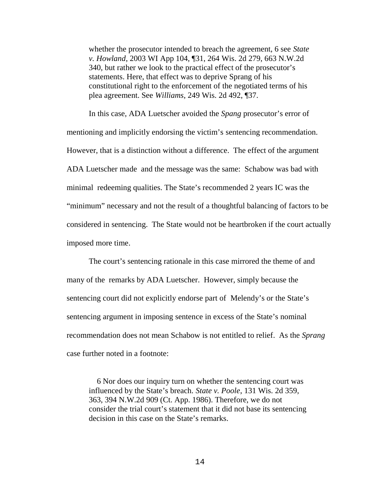whether the prosecutor intended to breach the agreement, 6 see *State v. Howland*, 2003 WI App 104, ¶31, 264 Wis. 2d 279, 663 N.W.2d 340, but rather we look to the practical effect of the prosecutor's statements. Here, that effect was to deprive Sprang of his constitutional right to the enforcement of the negotiated terms of his plea agreement. See *Williams*, 249 Wis. 2d 492, ¶37.

In this case, ADA Luetscher avoided the *Spang* prosecutor's error of mentioning and implicitly endorsing the victim's sentencing recommendation. However, that is a distinction without a difference. The effect of the argument ADA Luetscher made and the message was the same: Schabow was bad with minimal redeeming qualities. The State's recommended 2 years IC was the "minimum" necessary and not the result of a thoughtful balancing of factors to be considered in sentencing. The State would not be heartbroken if the court actually imposed more time.

The court's sentencing rationale in this case mirrored the theme of and many of the remarks by ADA Luetscher. However, simply because the sentencing court did not explicitly endorse part of Melendy's or the State's sentencing argument in imposing sentence in excess of the State's nominal recommendation does not mean Schabow is not entitled to relief. As the *Sprang* case further noted in a footnote:

6 Nor does our inquiry turn on whether the sentencing court was influenced by the State's breach. *State v. Poole*, 131 Wis. 2d 359, 363, 394 N.W.2d 909 (Ct. App. 1986). Therefore, we do not consider the trial court's statement that it did not base its sentencing decision in this case on the State's remarks.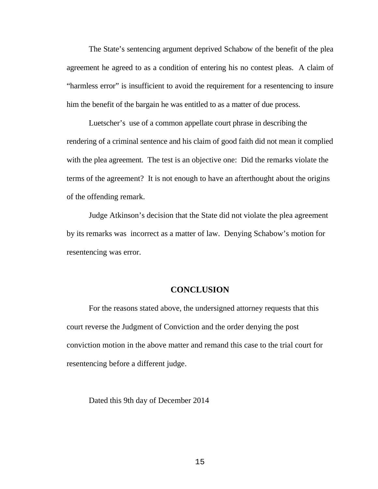The State's sentencing argument deprived Schabow of the benefit of the plea agreement he agreed to as a condition of entering his no contest pleas. A claim of "harmless error" is insufficient to avoid the requirement for a resentencing to insure him the benefit of the bargain he was entitled to as a matter of due process.

Luetscher's use of a common appellate court phrase in describing the rendering of a criminal sentence and his claim of good faith did not mean it complied with the plea agreement. The test is an objective one: Did the remarks violate the terms of the agreement? It is not enough to have an afterthought about the origins of the offending remark.

Judge Atkinson's decision that the State did not violate the plea agreement by its remarks was incorrect as a matter of law. Denying Schabow's motion for resentencing was error.

#### **CONCLUSION**

For the reasons stated above, the undersigned attorney requests that this court reverse the Judgment of Conviction and the order denying the post conviction motion in the above matter and remand this case to the trial court for resentencing before a different judge.

Dated this 9th day of December 2014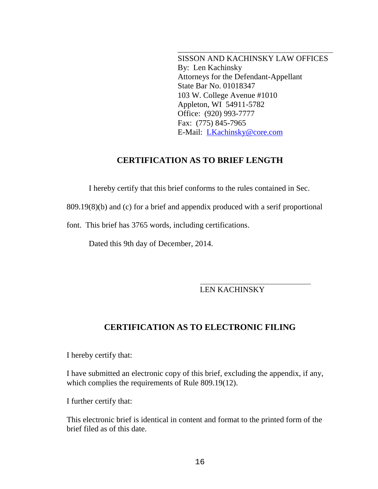SISSON AND KACHINSKY LAW OFFICES By: Len Kachinsky Attorneys for the Defendant-Appellant State Bar No. 01018347 103 W. College Avenue #1010 Appleton, WI 54911-5782 Office: (920) 993-7777 Fax: (775) 845-7965 E-Mail: LKachinsky@core.com

\_\_\_\_\_\_\_\_\_\_\_\_\_\_

### **CERTIFICATION AS TO BRIEF LENGTH**

I hereby certify that this brief conforms to the rules contained in Sec.

809.19(8)(b) and (c) for a brief and appendix produced with a serif proportional

font. This brief has 3765 words, including certifications.

Dated this 9th day of December, 2014.

### LEN KACHINSKY

### **CERTIFICATION AS TO ELECTRONIC FILING**

I hereby certify that:

I have submitted an electronic copy of this brief, excluding the appendix, if any, which complies the requirements of Rule 809.19(12).

I further certify that:

This electronic brief is identical in content and format to the printed form of the brief filed as of this date.